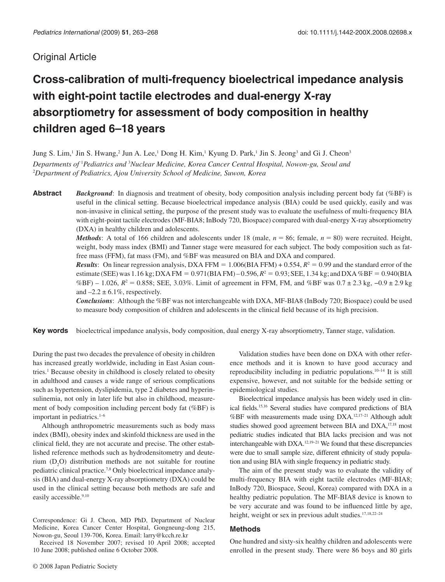## Original Article

# **Cross-calibration of multi-frequency bioelectrical impedance analysis with eight-point tactile electrodes and dual-energy X-ray absorptiometry for assessment of body composition in healthy children aged 6 – 18 years**

Jung S. Lim,<sup>1</sup> Jin S. Hwang,<sup>2</sup> Jun A. Lee,<sup>1</sup> Dong H. Kim,<sup>1</sup> Kyung D. Park,<sup>1</sup> Jin S. Jeong<sup>3</sup> and Gi J. Cheon<sup>3</sup> Departments of <sup>1</sup>Pediatrics and <sup>3</sup>Nuclear Medicine, Korea Cancer Central Hospital, Nowon-gu, Seoul and <sup>2</sup>Department of Pediatrics, Ajou University School of Medicine, Suwon, Korea

**Abstract** *Background*: In diagnosis and treatment of obesity, body composition analysis including percent body fat (%BF) is useful in the clinical setting. Because bioelectrical impedance analysis (BIA) could be used quickly, easily and was non-invasive in clinical setting, the purpose of the present study was to evaluate the usefulness of multi-frequency BIA with eight-point tactile electrodes (MF-BIA8; InBody 720, Biospace) compared with dual-energy X-ray absorptiometry (DXA) in healthy children and adolescents.

> *Methods*: A total of 166 children and adolescents under 18 (male,  $n = 86$ ; female,  $n = 80$ ) were recruited. Height, weight, body mass index (BMI) and Tanner stage were measured for each subject. The body composition such as fatfree mass (FFM), fat mass (FM), and %BF was measured on BIA and DXA and compared.

> *Results*: On linear regression analysis, DXA FFM =  $1.006(BIA$  FFM $) + 0.554$ ,  $R<sup>2</sup> = 0.99$  and the standard error of the estimate (SEE) was 1.16 kg; DXA FM =  $0.971(BIA FM) - 0.596$ ,  $R^2 = 0.93$ ; SEE, 1.34 kg; and DXA %BF =  $0.940(BIA)$ %BF) – 1.026,  $R^2 = 0.858$ ; SEE, 3.03%. Limit of agreement in FFM, FM, and %BF was  $0.7 \pm 2.3$  kg,  $-0.9 \pm 2.9$  kg and  $-2.2 \pm 6.1\%$ , respectively.

> *Conclusions* : Although the %BF was not interchangeable with DXA, MF-BIA8 (InBody 720; Biospace) could be used to measure body composition of children and adolescents in the clinical field because of its high precision.

**Key words** bioelectrical impedance analysis, body composition, dual energy X-ray absorptiometry, Tanner stage, validation.

 During the past two decades the prevalence of obesity in children has increased greatly worldwide, including in East Asian countries.<sup>1</sup> Because obesity in childhood is closely related to obesity in adulthood and causes a wide range of serious complications such as hypertension, dyslipidemia, type 2 diabetes and hyperinsulinemia, not only in later life but also in childhood, measurement of body composition including percent body fat (%BF) is important in pediatrics. $1 - 6$ 

 Although anthropometric measurements such as body mass index (BMI), obesity index and skinfold thickness are used in the clinical field, they are not accurate and precise. The other established reference methods such as hydrodensitometry and deuterium  $(D_2O)$  distribution methods are not suitable for routine pediatric clinical practice. 7,8 Only bioelectrical impedance analysis (BIA) and dual-energy X-ray absorptiometry (DXA) could be used in the clinical setting because both methods are safe and easily accessible.<sup>9,10</sup>

 Correspondence: Gi J. Cheon, MD PhD, Department of Nuclear Medicine, Korea Cancer Center Hospital, Gongneung-dong 215, Nowon-gu, Seoul 139-706, Korea. Email: larry@kcch.re.kr

 Received 18 November 2007; revised 10 April 2008; accepted 10 June 2008; published online 6 October 2008.

 Validation studies have been done on DXA with other reference methods and it is known to have good accuracy and reproducibility including in pediatric populations.<sup>10-14</sup> It is still expensive, however, and not suitable for the bedside setting or epidemiological studies.

 Bioelectrical impedance analysis has been widely used in clinical fields.<sup>15,16</sup> Several studies have compared predictions of BIA %BF with measurements made using DXA.<sup>12,17-21</sup> Although adult studies showed good agreement between BIA and DXA,<sup>17,18</sup> most pediatric studies indicated that BIA lacks precision and was not interchangeable with DXA.<sup>12,19-21</sup> We found that these discrepancies were due to small sample size, different ethnicity of study population and using BIA with single frequency in pediatric study.

 The aim of the present study was to evaluate the validity of multi-frequency BIA with eight tactile electrodes (MF-BIA8; InBody 720, Biospace, Seoul, Korea) compared with DXA in a healthy pediatric population. The MF-BIA8 device is known to be very accurate and was found to be influenced little by age, height, weight or sex in previous adult studies.<sup>17,18,22-24</sup>

### **Methods**

 One hundred and sixty-six healthy children and adolescents were enrolled in the present study. There were 86 boys and 80 girls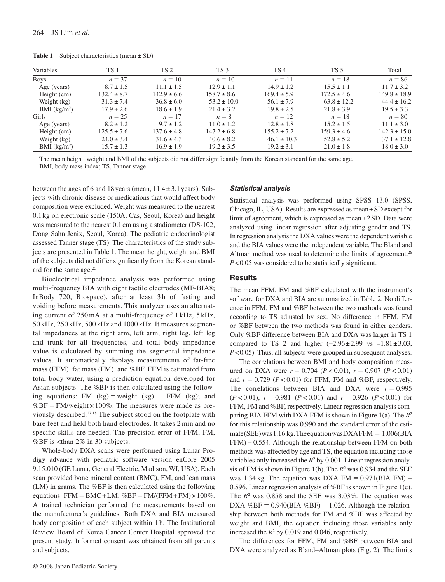**Table 1** Subject characteristics (mean ± SD)

| Variables                | <b>TS1</b>      | <b>TS 2</b>     | TS <sub>3</sub> | TS <sub>4</sub> | TS <sub>5</sub> | Total            |
|--------------------------|-----------------|-----------------|-----------------|-----------------|-----------------|------------------|
| <b>Boys</b>              | $n = 37$        | $n=10$          | $n=10$          | $n=11$          | $n=18$          | $n = 86$         |
| Age (years)              | $8.7 \pm 1.5$   | $11.1 \pm 1.5$  | $12.9 \pm 1.1$  | $14.9 \pm 1.2$  | $15.5 \pm 1.1$  | $11.7 \pm 3.2$   |
| Height (cm)              | $132.4 \pm 8.7$ | $142.9 \pm 6.6$ | $158.7 \pm 8.6$ | $169.4 \pm 5.9$ | $172.5 \pm 4.6$ | $149.8 \pm 18.9$ |
| Weight (kg)              | $31.3 \pm 7.4$  | $36.8 \pm 6.0$  | $53.2 \pm 10.0$ | $56.1 \pm 7.9$  | $63.8 \pm 12.2$ | $44.4 \pm 16.2$  |
| BMI (kg/m <sup>2</sup> ) | $17.9 \pm 2.6$  | $18.6 \pm 1.9$  | $21.4 \pm 3.2$  | $19.8 \pm 2.5$  | $21.8 \pm 3.9$  | $19.5 \pm 3.3$   |
| Girls                    | $n = 25$        | $n=17$          | $n = 8$         | $n=12$          | $n = 18$        | $n = 80$         |
| Age (years)              | $8.2 \pm 1.2$   | $9.7 \pm 1.2$   | $11.0 \pm 1.2$  | $12.8 \pm 1.8$  | $15.2 \pm 1.5$  | $11.1 \pm 3.0$   |
| Height (cm)              | $125.5 \pm 7.6$ | $137.6 \pm 4.8$ | $147.2 \pm 6.8$ | $155.2 \pm 7.2$ | $159.3 \pm 4.6$ | $142.3 \pm 15.0$ |
| Weight (kg)              | $24.0 \pm 3.4$  | $31.6 \pm 4.3$  | $40.6 \pm 8.2$  | $46.1 \pm 10.3$ | $52.8 \pm 5.2$  | $37.1 \pm 12.8$  |
| BMI (kg/m <sup>2</sup> ) | $15.7 \pm 1.3$  | $16.9 \pm 1.9$  | $19.2 \pm 3.5$  | $19.2 \pm 3.1$  | $21.0 \pm 1.8$  | $18.0 \pm 3.0$   |

The mean height, weight and BMI of the subjects did not differ significantly from the Korean standard for the same age. BMI, body mass index; TS, Tanner stage.

between the ages of 6 and 18 years (mean, 11.4 ± 3.1 years). Subjects with chronic disease or medications that would affect body composition were excluded. Weight was measured to the nearest 0.1 kg on electronic scale (150A, Cas, Seoul, Korea) and height was measured to the nearest 0.1 cm using a stadiometer (DS-102, Dong Sahn Jenix, Seoul, Korea). The pediatric endocrinologist assessed Tanner stage (TS). The characteristics of the study subjects are presented in Table 1. The mean height, weight and BMI of the subjects did not differ significantly from the Korean standard for the same age.<sup>25</sup>

 Bioelectrical impedance analysis was performed using multi-frequency BIA with eight tactile electrodes (MF-BIA8; InBody 720, Biospace), after at least 3 h of fasting and voiding before measurements. This analyzer uses an alternating current of 250 mA at a multi-frequency of 1 kHz, 5 kHz, 50 kHz, 250 kHz, 500 kHz and 1000 kHz. It measures segmental impedances at the right arm, left arm, right leg, left leg and trunk for all frequencies, and total body impedance value is calculated by summing the segmental impedance values. It automatically displays measurements of fat-free mass (FFM), fat mass (FM), and %BF. FFM is estimated from total body water, using a prediction equation developed for Asian subjects. The %BF is then calculated using the following equations: FM  $(kg)$  = weight  $(kg)$  – FFM  $(kg)$ ; and  $%BF = FM/weight \times 100\%$ . The measures were made as previously described. 17,18 The subject stood on the footplate with bare feet and held both hand electrodes. It takes 2 min and no specific skills are needed. The precision error of FFM, FM, %BF is <than 2% in 30 subjects.

 Whole-body DXA scans were performed using Lunar Prodigy advance with pediatric software version enCore 2005 9.15.010 (GE Lunar, General Electric, Madison, WI, USA). Each scan provided bone mineral content (BMC), FM, and lean mass (LM) in grams. The %BF is then calculated using the following equations: FFM = BMC + LM;  $%BF = FM/(FFM + FM) \times 100\%$ . A trained technician performed the measurements based on the manufacturer's guidelines. Both DXA and BIA measured body composition of each subject within 1 h. The Institutional Review Board of Korea Cancer Center Hospital approved the present study. Informed consent was obtained from all parents and subjects.

### *Statistical analysis*

 Statistical analysis was performed using SPSS 13.0 (SPSS, Chicago, IL, USA). Results are expressed as mean ± SD except for limit of agreement, which is expressed as mean ± 2 SD. Data were analyzed using linear regression after adjusting gender and TS. In regression analysis the DXA values were the dependent variable and the BIA values were the independent variable. The Bland and Altman method was used to determine the limits of agreement.<sup>26</sup> *P* < 0.05 was considered to be statistically significant.

### **Results**

 The mean FFM, FM and %BF calculated with the instrument's software for DXA and BIA are summarized in Table 2. No difference in FFM, FM and %BF between the two methods was found according to TS adjusted by sex. No difference in FFM, FM or %BF between the two methods was found in either genders. Only %BF difference between BIA and DXA was larger in TS 1 compared to TS 2 and higher  $(-2.96 \pm 2.99 \text{ vs } -1.81 \pm 3.03,$ *P* < 0.05). Thus, all subjects were grouped in subsequent analyses.

 The correlations between BMI and body composition measured on DXA were  $r = 0.704$  ( $P < 0.01$ ),  $r = 0.907$  ( $P < 0.01$ ) and  $r = 0.729$  ( $P < 0.01$ ) for FFM, FM and %BF, respectively. The correlations between BIA and DXA were  $r = 0.995$  $(P < 0.01)$ ,  $r = 0.981$   $(P < 0.01)$  and  $r = 0.926$   $(P < 0.01)$  for FFM, FM and %BF, respectively. Linear regression analysis comparing BIA FFM with DXA FFM is shown in Figure 1(a). The  $R^2$ for this relationship was 0.990 and the standard error of the estimate (SEE) was 1.16 kg. The equation was DXAFFM  $= 1.006$  (BIA FFM) + 0.554 . Although the relationship between FFM on both methods was affected by age and TS, the equation including those variables only increased the  $R^2$  by 0.001. Linear regression analysis of FM is shown in Figure 1(b). The  $R^2$  was 0.934 and the SEE was 1.34 kg. The equation was DXA FM  $= 0.971(BIA \text{ FM}) -$ 0.596. Linear regression analysis of %BF is shown in Figure 1(c) . The  $R^2$  was 0.858 and the SEE was 3.03%. The equation was DXA %BF =  $0.940(BIA$  %BF) – 1.026. Although the relationship between both methods for FM and %BF was affected by weight and BMI, the equation including those variables only increased the  $R^2$  by 0.019 and 0.046, respectively.

 The differences for FFM, FM and %BF between BIA and DXA were analyzed as Bland-Altman plots (Fig. 2). The limits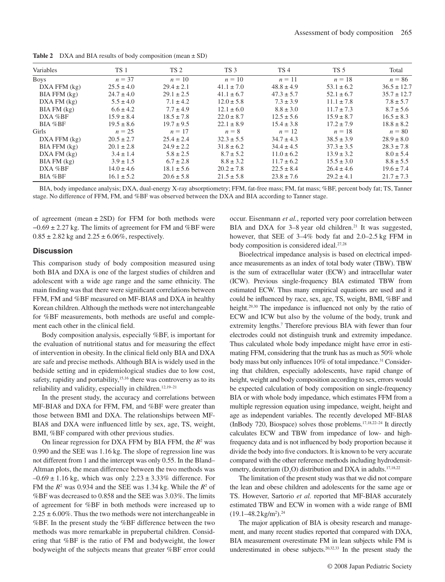| Variables        | TS 1           | TS <sub>2</sub> | TS <sub>3</sub> | TS <sub>4</sub> | TS 5           | Total           |
|------------------|----------------|-----------------|-----------------|-----------------|----------------|-----------------|
| <b>Boys</b>      | $n = 37$       | $n=10$          | $n=10$          | $n=11$          | $n=18$         | $n = 86$        |
| $DXA$ FFM $(kg)$ | $25.5 \pm 4.0$ | $29.4 \pm 2.1$  | $41.1 \pm 7.0$  | $48.8 \pm 4.9$  | $53.1 \pm 6.2$ | $36.5 \pm 12.7$ |
| $BIA$ FFM $(kg)$ | $24.7 \pm 4.0$ | $29.1 \pm 2.5$  | $41.1 \pm 6.7$  | $47.3 \pm 5.7$  | $52.1 \pm 6.7$ | $35.7 \pm 12.7$ |
| DXA FM (kg)      | $5.5 \pm 4.0$  | $7.1 \pm 4.2$   | $12.0 \pm 5.8$  | $7.3 \pm 3.9$   | $11.1 \pm 7.8$ | $7.8 \pm 5.7$   |
| BIA FM (kg)      | $6.6 \pm 4.2$  | $7.7 \pm 4.9$   | $12.1 \pm 6.0$  | $8.8 \pm 3.0$   | $11.7 \pm 7.3$ | $8.7 \pm 5.6$   |
| $DXA$ % $BF$     | $15.9 \pm 8.4$ | $18.5 \pm 7.8$  | $22.0 \pm 8.7$  | $12.5 \pm 5.6$  | $15.9 \pm 8.7$ | $16.5 \pm 8.3$  |
| BIA %BF          | $19.5 \pm 8.6$ | $19.7 \pm 9.5$  | $22.1 \pm 8.9$  | $15.4 \pm 3.8$  | $17.2 \pm 7.9$ | $18.8 \pm 8.2$  |
| Girls            | $n = 25$       | $n = 17$        | $n = 8$         | $n=12$          | $n=18$         | $n = 80$        |
| $DXA$ FFM $(kg)$ | $20.5 \pm 2.7$ | $25.4 \pm 2.4$  | $32.3 \pm 5.5$  | $34.7 \pm 4.3$  | $38.5 \pm 3.9$ | $28.9 \pm 8.0$  |
| $BIA$ FFM $(kg)$ | $20.1 \pm 2.8$ | $24.9 \pm 2.2$  | $31.8 \pm 6.2$  | $34.4 \pm 4.5$  | $37.3 \pm 3.5$ | $28.3 \pm 7.8$  |
| DXA FM (kg)      | $3.4 \pm 1.4$  | $5.8 \pm 2.5$   | $8.7 \pm 5.2$   | $11.0 \pm 6.2$  | $13.9 \pm 3.2$ | $8.0 \pm 5.4$   |
| BIA FM (kg)      | $3.9 \pm 1.5$  | $6.7 \pm 2.8$   | $8.8 \pm 3.2$   | $11.7 \pm 6.2$  | $15.5 \pm 3.0$ | $8.8 \pm 5.5$   |
| $DXA \%BF$       | $14.0 \pm 4.6$ | $18.1 \pm 5.6$  | $20.2 \pm 7.8$  | $22.5 \pm 8.4$  | $26.4 \pm 4.6$ | $19.6 \pm 7.4$  |
| BIA %BF          | $16.1 \pm 5.2$ | $20.6 \pm 5.8$  | $21.5 \pm 5.8$  | $23.8 \pm 7.6$  | $29.2 \pm 4.1$ | $21.7 \pm 7.3$  |

**Table 2** DXA and BIA results of body composition (mean  $\pm$  SD)

 BIA, body impedance analysis; DXA, dual-energy X-ray absorptiometry; FFM, fat-free mass; FM, fat mass; %BF, percent body fat; TS, Tanner stage. No difference of FFM, FM, and %BF was observed between the DXA and BIA according to Tanner stage.

of agreement (mean  $\pm$  2SD) for FFM for both methods were  $-0.69 \pm 2.27$  kg. The limits of agreement for FM and %BF were  $0.85 \pm 2.82$  kg and  $2.25 \pm 6.06\%$ , respectively.

#### **Discussion**

 This comparison study of body composition measured using both BIA and DXA is one of the largest studies of children and adolescent with a wide age range and the same ethnicity. The main finding was that there were significant correlations between FFM, FM and %BF measured on MF-BIA8 and DXA in healthy Korean children. Although the methods were not interchangeable for %BF measurements, both methods are useful and complement each other in the clinical field.

 Body composition analysis, especially %BF, is important for the evaluation of nutritional status and for measuring the effect of intervention in obesity. In the clinical field only BIA and DXA are safe and precise methods. Although BIA is widely used in the bedside setting and in epidemiological studies due to low cost, safety, rapidity and portability,<sup>15,16</sup> there was controversy as to its reliability and validity, especially in children.<sup>12,19-21</sup>

 In the present study, the accuracy and correlations between MF-BIA8 and DXA for FFM, FM, and %BF were greater than those between BMI and DXA. The relationships between MF-BIA8 and DXA were influenced little by sex, age, TS, weight, BMI, %BF compared with other previous studies.

 On linear regression for DXA FFM by BIA FFM, the *R*<sup>2</sup> was 0.990 and the SEE was 1.16 kg. The slope of regression line was not different from 1 and the intercept was only 0.55. In the Bland – Altman plots, the mean difference between the two methods was  $-0.69 \pm 1.16$  kg, which was only  $2.23 \pm 3.33$ % difference. For FM the  $R^2$  was 0.934 and the SEE was 1.34 kg. While the  $R^2$  of %BF was decreased to 0.858 and the SEE was 3.03%. The limits of agreement for %BF in both methods were increased up to  $2.25 \pm 6.00\%$ . Thus the two methods were not interchangeable in %BF. In the present study the %BF difference between the two methods was more remarkable in prepubertal children. Considering that %BF is the ratio of FM and bodyweight, the lower bodyweight of the subjects means that greater %BF error could

occur. Eisenmann *et al.* , reported very poor correlation between BIA and DXA for 3-8 year old children.<sup>21</sup> It was suggested, however, that SEE of 3-4% body fat and 2.0-2.5 kg FFM in body composition is considered ideal.<sup>27,28</sup>

 Bioelectrical impedance analysis is based on electrical impedance measurements as an index of total body water (TBW). TBW is the sum of extracellular water (ECW) and intracellular water (ICW). Previous single-frequency BIA estimated TBW from estimated ECW. Thus many empirical equations are used and it could be influenced by race, sex, age, TS, weight, BMI, %BF and height.<sup>29,30</sup> The impedance is influenced not only by the ratio of ECW and ICW but also by the volume of the body, trunk and extremity lengths.<sup>7</sup> Therefore previous BIA with fewer than four electrodes could not distinguish trunk and extremity impedance. Thus calculated whole body impedance might have error in estimating FFM, considering that the trunk has as much as 50% whole body mass but only influences 10% of total impedance.<sup>31</sup> Considering that children, especially adolescents, have rapid change of height, weight and body composition according to sex, errors would be expected calculation of body composition on single-frequency BIA or with whole body impedance, which estimates FFM from a multiple regression equation using impedance, weight, height and age as independent variables. The recently developed MF-BIA8 (InBody 720, Biospace) solves those problems.<sup>17,18,22-24</sup> It directly calculates ECW and TBW from impedance of low- and highfrequency data and is not influenced by body proportion because it divide the body into five conductors. It is known to be very accurate compared with the other reference methods including hydrodensitometry, deuterium  $(D_2O)$  distribution and DXA in adults.<sup>17,18,22</sup>

 The limitation of the present study was that we did not compare the lean and obese children and adolescents for the same age or TS. However, Sartorio *et al.* reported that MF-BIA8 accurately estimated TBW and ECW in women with a wide range of BMI  $(19.1 - 48.2 \text{ kg/m}^2).^{24}$ 

 The major application of BIA is obesity research and management, and many recent studies reported that compared with DXA, BIA measurement overestimate FM in lean subjects while FM is underestimated in obese subjects. 20,32,33 In the present study the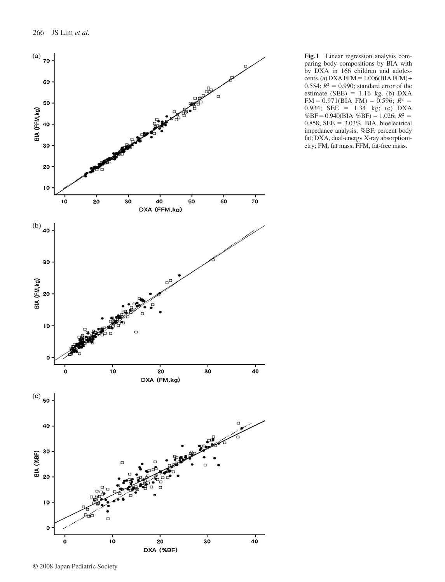

**Fig. 1** Linear regression analysis comparing body compositions by BIA with by DXA in 166 children and adolescents. (a) DXA FFM =  $1.006(BIA$  FFM) + 0.554;  $R^2 = 0.990$ ; standard error of the estimate (SEE)  $= 1.16$  kg. (b) DXA  $FM = 0.971(BIA FM) - 0.596; R<sup>2</sup> =$ 0.934; SEE = 1.34 kg; (c) DXA  $%BF = 0.940(BIA \, %BF) - 1.026; R^2 =$ 0.858; SEE =  $3.03\%$ . BIA, bioelectrical impedance analysis; %BF, percent body fat; DXA, dual-energy X-ray absorptiometry; FM, fat mass; FFM, fat-free mass .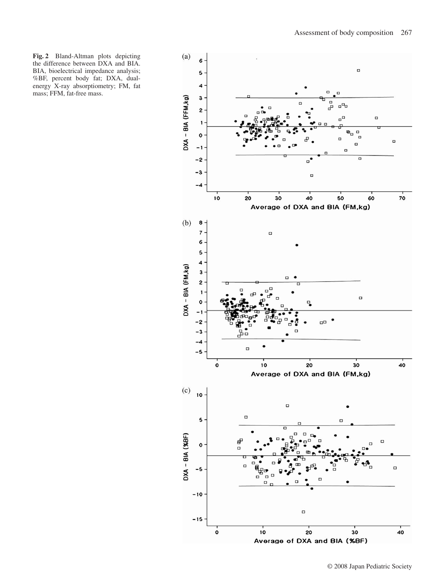**Fig. 2** Bland-Altman plots depicting the difference between DXA and BIA. BIA, bioelectrical impedance analysis; %BF, percent body fat; DXA, dualenergy X-ray absorptiometry; FM, fat mass; FFM, fat-free mass.